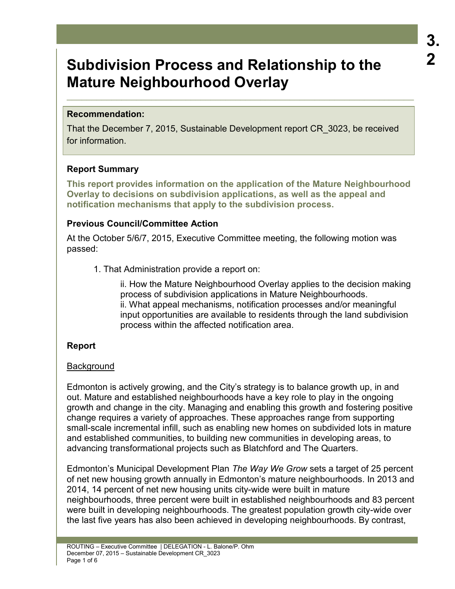# **3. 2**

# **Subdivision Process and Relationship to the Mature Neighbourhood Overlay**

### **Recommendation:**

That the December 7, 2015, Sustainable Development report CR\_3023, be received for information.

 $\_$  , and the set of the set of the set of the set of the set of the set of the set of the set of the set of the set of the set of the set of the set of the set of the set of the set of the set of the set of the set of th

## **Report Summary**

**This report provides information on the application of the Mature Neighbourhood Overlay to decisions on subdivision applications, as well as the appeal and notification mechanisms that apply to the subdivision process.** 

## **Previous Council/Committee Action**

At the October 5/6/7, 2015, Executive Committee meeting, the following motion was passed:

1. That Administration provide a report on:

ii. How the Mature Neighbourhood Overlay applies to the decision making process of subdivision applications in Mature Neighbourhoods. ii. What appeal mechanisms, notification processes and/or meaningful input opportunities are available to residents through the land subdivision process within the affected notification area.

# **Report**

# **Background**

Edmonton is actively growing, and the City's strategy is to balance growth up, in and out. Mature and established neighbourhoods have a key role to play in the ongoing growth and change in the city. Managing and enabling this growth and fostering positive change requires a variety of approaches. These approaches range from supporting small-scale incremental infill, such as enabling new homes on subdivided lots in mature and established communities, to building new communities in developing areas, to advancing transformational projects such as Blatchford and The Quarters.

Edmonton's Municipal Development Plan *The Way We Grow* sets a target of 25 percent of net new housing growth annually in Edmonton's mature neighbourhoods. In 2013 and 2014, 14 percent of net new housing units city-wide were built in mature neighbourhoods, three percent were built in established neighbourhoods and 83 percent were built in developing neighbourhoods. The greatest population growth city-wide over the last five years has also been achieved in developing neighbourhoods. By contrast,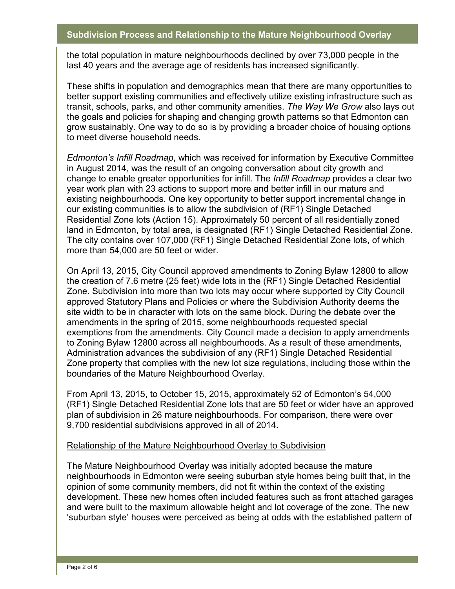the total population in mature neighbourhoods declined by over 73,000 people in the last 40 years and the average age of residents has increased significantly.

These shifts in population and demographics mean that there are many opportunities to better support existing communities and effectively utilize existing infrastructure such as transit, schools, parks, and other community amenities. *The Way We Grow* also lays out the goals and policies for shaping and changing growth patterns so that Edmonton can grow sustainably. One way to do so is by providing a broader choice of housing options to meet diverse household needs.

*Edmonton's Infill Roadmap*, which was received for information by Executive Committee in August 2014, was the result of an ongoing conversation about city growth and change to enable greater opportunities for infill. The *Infill Roadmap* provides a clear two year work plan with 23 actions to support more and better infill in our mature and existing neighbourhoods*.* One key opportunity to better support incremental change in our existing communities is to allow the subdivision of (RF1) Single Detached Residential Zone lots (Action 15). Approximately 50 percent of all residentially zoned land in Edmonton, by total area, is designated (RF1) Single Detached Residential Zone. The city contains over 107,000 (RF1) Single Detached Residential Zone lots, of which more than 54,000 are 50 feet or wider.

On April 13, 2015, City Council approved amendments to Zoning Bylaw 12800 to allow the creation of 7.6 metre (25 feet) wide lots in the (RF1) Single Detached Residential Zone. Subdivision into more than two lots may occur where supported by City Council approved Statutory Plans and Policies or where the Subdivision Authority deems the site width to be in character with lots on the same block. During the debate over the amendments in the spring of 2015, some neighbourhoods requested special exemptions from the amendments. City Council made a decision to apply amendments to Zoning Bylaw 12800 across all neighbourhoods. As a result of these amendments, Administration advances the subdivision of any (RF1) Single Detached Residential Zone property that complies with the new lot size regulations, including those within the boundaries of the Mature Neighbourhood Overlay.

From April 13, 2015, to October 15, 2015, approximately 52 of Edmonton's 54,000 (RF1) Single Detached Residential Zone lots that are 50 feet or wider have an approved plan of subdivision in 26 mature neighbourhoods. For comparison, there were over 9,700 residential subdivisions approved in all of 2014.

#### Relationship of the Mature Neighbourhood Overlay to Subdivision

The Mature Neighbourhood Overlay was initially adopted because the mature neighbourhoods in Edmonton were seeing suburban style homes being built that, in the opinion of some community members, did not fit within the context of the existing development. These new homes often included features such as front attached garages and were built to the maximum allowable height and lot coverage of the zone. The new 'suburban style' houses were perceived as being at odds with the established pattern of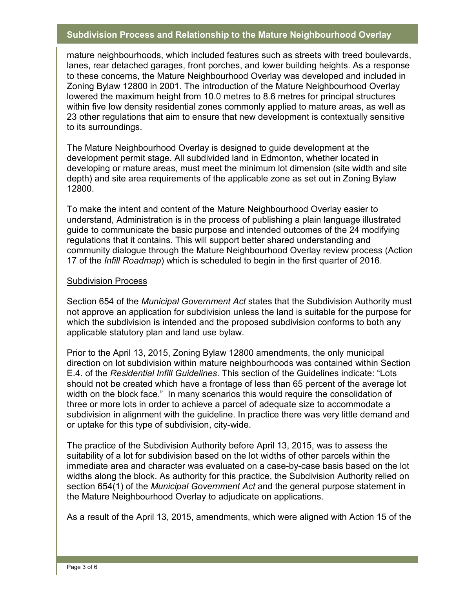mature neighbourhoods, which included features such as streets with treed boulevards, lanes, rear detached garages, front porches, and lower building heights. As a response to these concerns, the Mature Neighbourhood Overlay was developed and included in Zoning Bylaw 12800 in 2001. The introduction of the Mature Neighbourhood Overlay lowered the maximum height from 10.0 metres to 8.6 metres for principal structures within five low density residential zones commonly applied to mature areas, as well as 23 other regulations that aim to ensure that new development is contextually sensitive to its surroundings.

The Mature Neighbourhood Overlay is designed to guide development at the development permit stage. All subdivided land in Edmonton, whether located in developing or mature areas, must meet the minimum lot dimension (site width and site depth) and site area requirements of the applicable zone as set out in Zoning Bylaw 12800.

To make the intent and content of the Mature Neighbourhood Overlay easier to understand, Administration is in the process of publishing a plain language illustrated guide to communicate the basic purpose and intended outcomes of the 24 modifying regulations that it contains. This will support better shared understanding and community dialogue through the Mature Neighbourhood Overlay review process (Action 17 of the *Infill Roadmap*) which is scheduled to begin in the first quarter of 2016.

#### Subdivision Process

Section 654 of the *Municipal Government Act* states that the Subdivision Authority must not approve an application for subdivision unless the land is suitable for the purpose for which the subdivision is intended and the proposed subdivision conforms to both any applicable statutory plan and land use bylaw.

Prior to the April 13, 2015, Zoning Bylaw 12800 amendments, the only municipal direction on lot subdivision within mature neighbourhoods was contained within Section E.4. of the *Residential Infill Guidelines*. This section of the Guidelines indicate: "Lots should not be created which have a frontage of less than 65 percent of the average lot width on the block face." In many scenarios this would require the consolidation of three or more lots in order to achieve a parcel of adequate size to accommodate a subdivision in alignment with the guideline. In practice there was very little demand and or uptake for this type of subdivision, city-wide.

The practice of the Subdivision Authority before April 13, 2015, was to assess the suitability of a lot for subdivision based on the lot widths of other parcels within the immediate area and character was evaluated on a case-by-case basis based on the lot widths along the block. As authority for this practice, the Subdivision Authority relied on section 654(1) of the *Municipal Government Act* and the general purpose statement in the Mature Neighbourhood Overlay to adjudicate on applications.

As a result of the April 13, 2015, amendments, which were aligned with Action 15 of the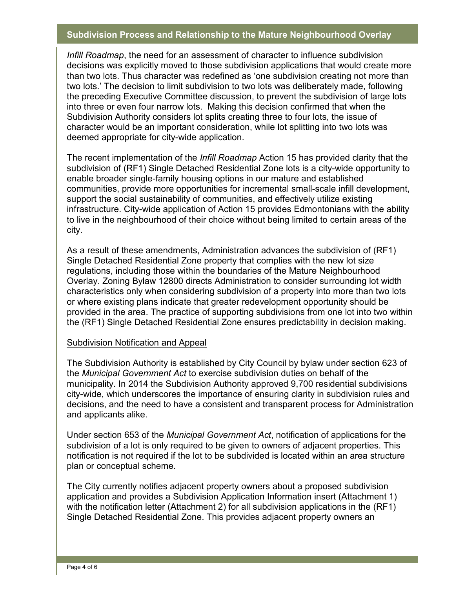*Infill Roadmap*, the need for an assessment of character to influence subdivision decisions was explicitly moved to those subdivision applications that would create more than two lots. Thus character was redefined as 'one subdivision creating not more than two lots.' The decision to limit subdivision to two lots was deliberately made, following the preceding Executive Committee discussion, to prevent the subdivision of large lots into three or even four narrow lots. Making this decision confirmed that when the Subdivision Authority considers lot splits creating three to four lots, the issue of character would be an important consideration, while lot splitting into two lots was deemed appropriate for city-wide application.

The recent implementation of the *Infill Roadmap* Action 15 has provided clarity that the subdivision of (RF1) Single Detached Residential Zone lots is a city-wide opportunity to enable broader single-family housing options in our mature and established communities, provide more opportunities for incremental small-scale infill development, support the social sustainability of communities, and effectively utilize existing infrastructure. City-wide application of Action 15 provides Edmontonians with the ability to live in the neighbourhood of their choice without being limited to certain areas of the city.

As a result of these amendments, Administration advances the subdivision of (RF1) Single Detached Residential Zone property that complies with the new lot size regulations, including those within the boundaries of the Mature Neighbourhood Overlay. Zoning Bylaw 12800 directs Administration to consider surrounding lot width characteristics only when considering subdivision of a property into more than two lots or where existing plans indicate that greater redevelopment opportunity should be provided in the area. The practice of supporting subdivisions from one lot into two within the (RF1) Single Detached Residential Zone ensures predictability in decision making.

#### Subdivision Notification and Appeal

The Subdivision Authority is established by City Council by bylaw under section 623 of the *Municipal Government Act* to exercise subdivision duties on behalf of the municipality. In 2014 the Subdivision Authority approved 9,700 residential subdivisions city-wide, which underscores the importance of ensuring clarity in subdivision rules and decisions, and the need to have a consistent and transparent process for Administration and applicants alike.

Under section 653 of the *Municipal Government Act*, notification of applications for the subdivision of a lot is only required to be given to owners of adjacent properties. This notification is not required if the lot to be subdivided is located within an area structure plan or conceptual scheme.

The City currently notifies adjacent property owners about a proposed subdivision application and provides a Subdivision Application Information insert (Attachment 1) with the notification letter (Attachment 2) for all subdivision applications in the (RF1) Single Detached Residential Zone. This provides adjacent property owners an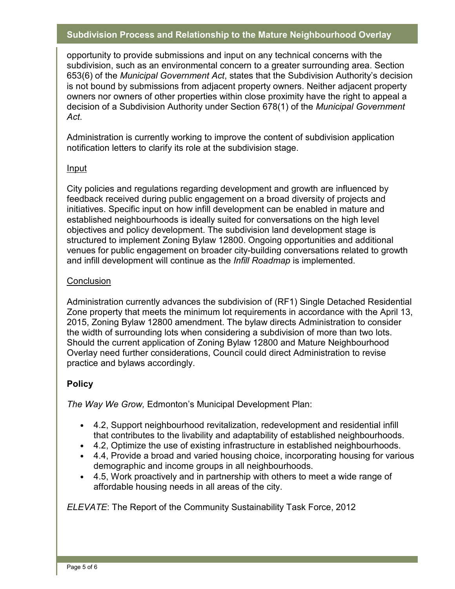opportunity to provide submissions and input on any technical concerns with the subdivision, such as an environmental concern to a greater surrounding area. Section 653(6) of the *Municipal Government Act*, states that the Subdivision Authority's decision is not bound by submissions from adjacent property owners. Neither adjacent property owners nor owners of other properties within close proximity have the right to appeal a decision of a Subdivision Authority under Section 678(1) of the *Municipal Government Act*.

Administration is currently working to improve the content of subdivision application notification letters to clarify its role at the subdivision stage.

#### Input

City policies and regulations regarding development and growth are influenced by feedback received during public engagement on a broad diversity of projects and initiatives. Specific input on how infill development can be enabled in mature and established neighbourhoods is ideally suited for conversations on the high level objectives and policy development. The subdivision land development stage is structured to implement Zoning Bylaw 12800. Ongoing opportunities and additional venues for public engagement on broader city-building conversations related to growth and infill development will continue as the *Infill Roadmap* is implemented.

### **Conclusion**

Administration currently advances the subdivision of (RF1) Single Detached Residential Zone property that meets the minimum lot requirements in accordance with the April 13, 2015, Zoning Bylaw 12800 amendment. The bylaw directs Administration to consider the width of surrounding lots when considering a subdivision of more than two lots. Should the current application of Zoning Bylaw 12800 and Mature Neighbourhood Overlay need further considerations, Council could direct Administration to revise practice and bylaws accordingly.

# **Policy**

*The Way We Grow,* Edmonton's Municipal Development Plan:

- 4.2, Support neighbourhood revitalization, redevelopment and residential infill that contributes to the livability and adaptability of established neighbourhoods.
- 4.2, Optimize the use of existing infrastructure in established neighbourhoods.
- 4.4, Provide a broad and varied housing choice, incorporating housing for various demographic and income groups in all neighbourhoods.
- 4.5, Work proactively and in partnership with others to meet a wide range of affordable housing needs in all areas of the city.

*ELEVATE*: The Report of the Community Sustainability Task Force, 2012